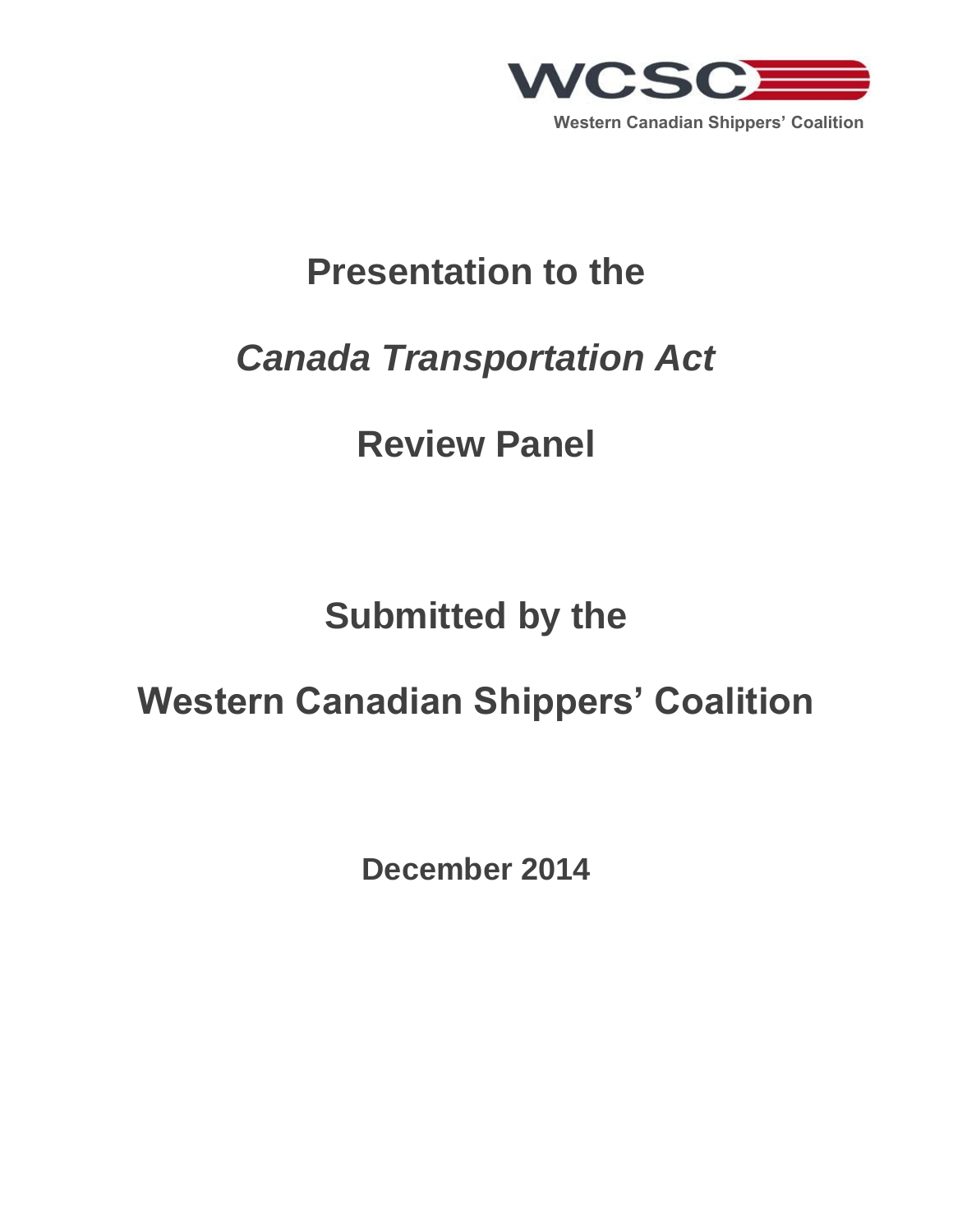

## **Presentation to the**

## *Canada Transportation Act*

# **Review Panel**

# **Submitted by the**

# **Western Canadian Shippers' Coalition**

**December 2014**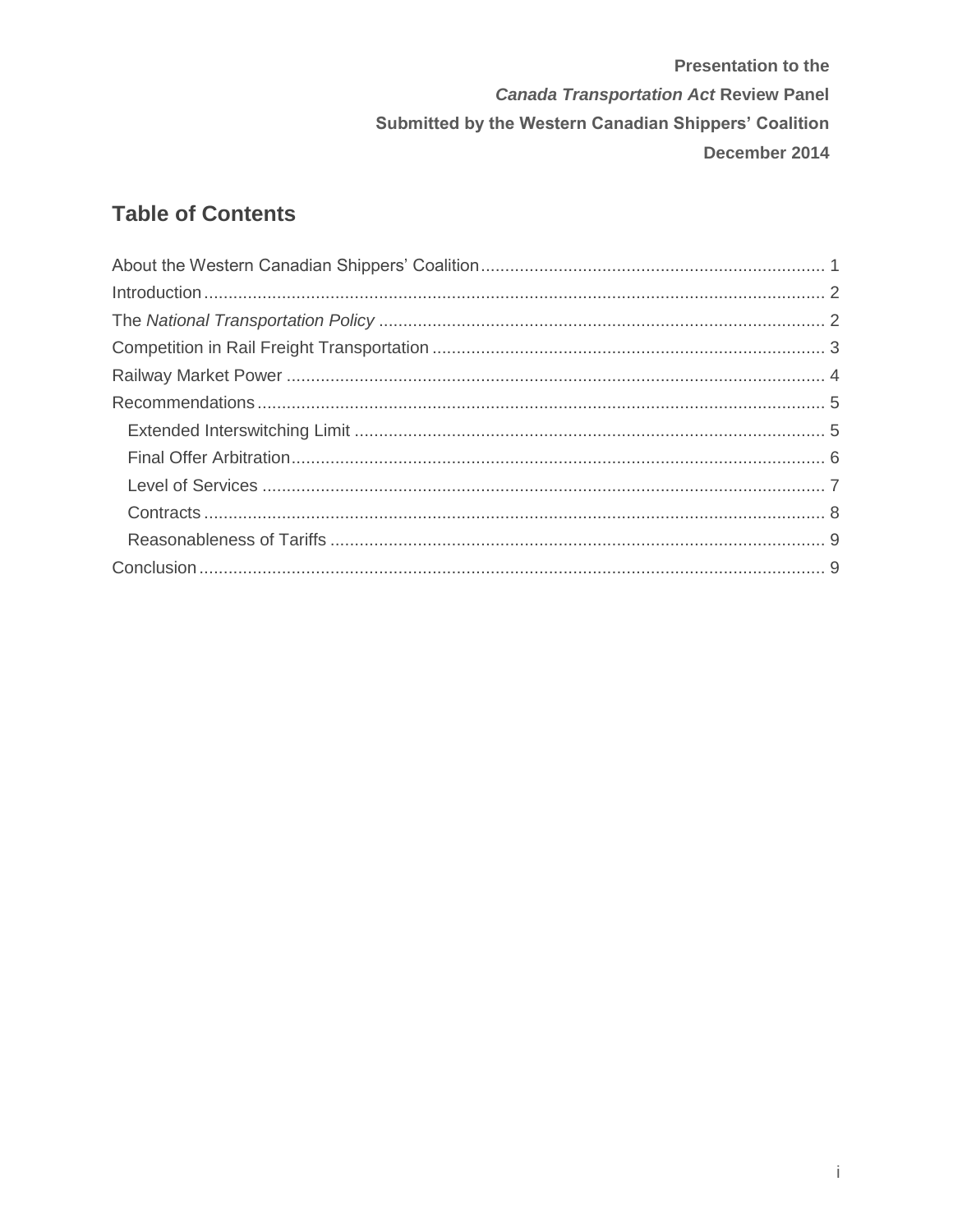## **Table of Contents**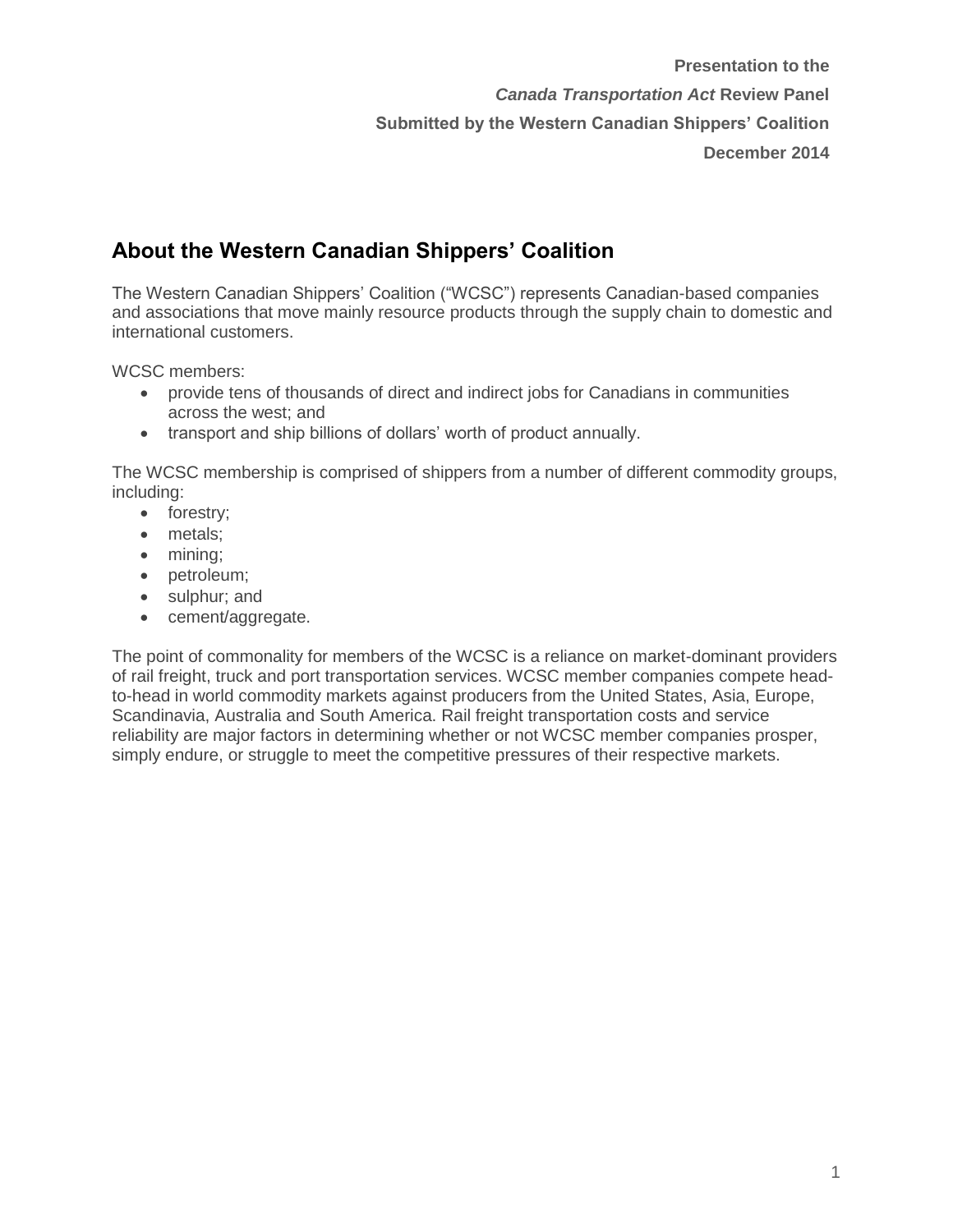## **About the Western Canadian Shippers' Coalition**

The Western Canadian Shippers' Coalition ("WCSC") represents Canadian-based companies and associations that move mainly resource products through the supply chain to domestic and international customers.

WCSC members:

- provide tens of thousands of direct and indirect jobs for Canadians in communities across the west; and
- transport and ship billions of dollars' worth of product annually.

The WCSC membership is comprised of shippers from a number of different commodity groups, including:

- forestry;
- metals;
- mining;
- petroleum;
- sulphur; and
- cement/aggregate.

The point of commonality for members of the WCSC is a reliance on market-dominant providers of rail freight, truck and port transportation services. WCSC member companies compete headto-head in world commodity markets against producers from the United States, Asia, Europe, Scandinavia, Australia and South America. Rail freight transportation costs and service reliability are major factors in determining whether or not WCSC member companies prosper, simply endure, or struggle to meet the competitive pressures of their respective markets.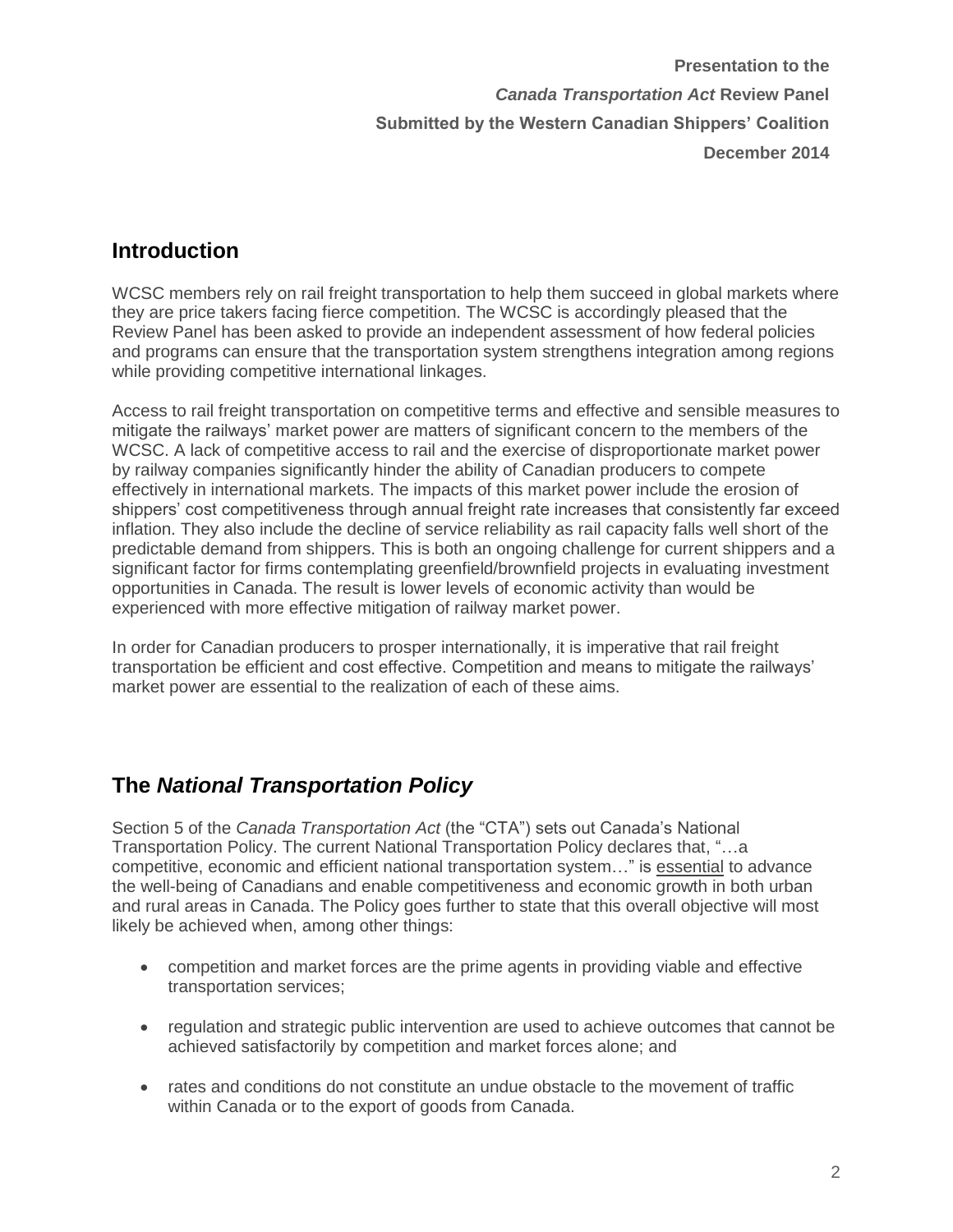#### **Introduction**

WCSC members rely on rail freight transportation to help them succeed in global markets where they are price takers facing fierce competition. The WCSC is accordingly pleased that the Review Panel has been asked to provide an independent assessment of how federal policies and programs can ensure that the transportation system strengthens integration among regions while providing competitive international linkages.

Access to rail freight transportation on competitive terms and effective and sensible measures to mitigate the railways' market power are matters of significant concern to the members of the WCSC. A lack of competitive access to rail and the exercise of disproportionate market power by railway companies significantly hinder the ability of Canadian producers to compete effectively in international markets. The impacts of this market power include the erosion of shippers' cost competitiveness through annual freight rate increases that consistently far exceed inflation. They also include the decline of service reliability as rail capacity falls well short of the predictable demand from shippers. This is both an ongoing challenge for current shippers and a significant factor for firms contemplating greenfield/brownfield projects in evaluating investment opportunities in Canada. The result is lower levels of economic activity than would be experienced with more effective mitigation of railway market power.

In order for Canadian producers to prosper internationally, it is imperative that rail freight transportation be efficient and cost effective. Competition and means to mitigate the railways' market power are essential to the realization of each of these aims.

### **The** *National Transportation Policy*

Section 5 of the *Canada Transportation Act* (the "CTA") sets out Canada's National Transportation Policy. The current National Transportation Policy declares that, "…a competitive, economic and efficient national transportation system…" is essential to advance the well-being of Canadians and enable competitiveness and economic growth in both urban and rural areas in Canada. The Policy goes further to state that this overall objective will most likely be achieved when, among other things:

- competition and market forces are the prime agents in providing viable and effective transportation services;
- regulation and strategic public intervention are used to achieve outcomes that cannot be achieved satisfactorily by competition and market forces alone; and
- rates and conditions do not constitute an undue obstacle to the movement of traffic within Canada or to the export of goods from Canada.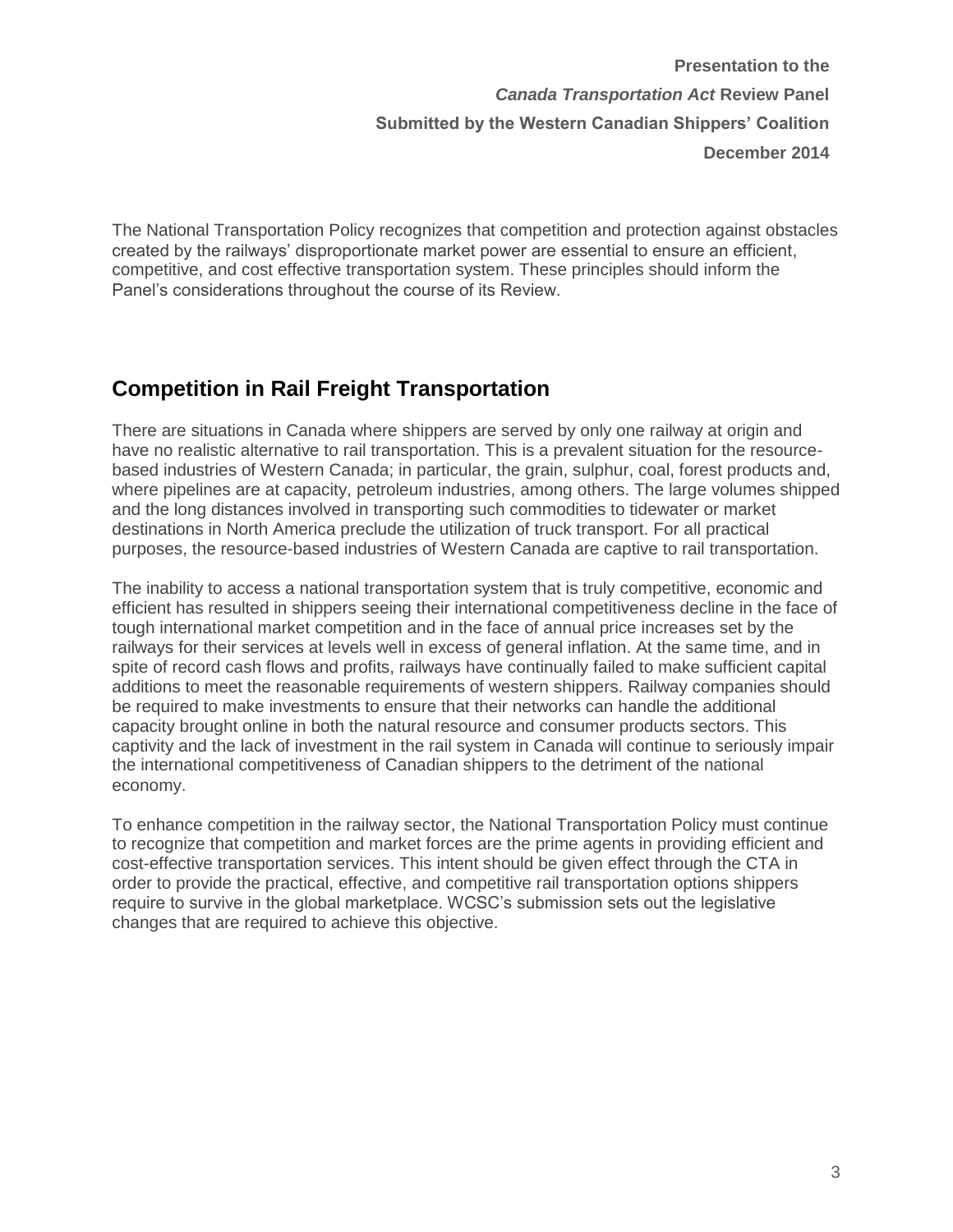The National Transportation Policy recognizes that competition and protection against obstacles created by the railways' disproportionate market power are essential to ensure an efficient, competitive, and cost effective transportation system. These principles should inform the Panel's considerations throughout the course of its Review.

#### **Competition in Rail Freight Transportation**

There are situations in Canada where shippers are served by only one railway at origin and have no realistic alternative to rail transportation. This is a prevalent situation for the resourcebased industries of Western Canada; in particular, the grain, sulphur, coal, forest products and, where pipelines are at capacity, petroleum industries, among others. The large volumes shipped and the long distances involved in transporting such commodities to tidewater or market destinations in North America preclude the utilization of truck transport. For all practical purposes, the resource-based industries of Western Canada are captive to rail transportation.

The inability to access a national transportation system that is truly competitive, economic and efficient has resulted in shippers seeing their international competitiveness decline in the face of tough international market competition and in the face of annual price increases set by the railways for their services at levels well in excess of general inflation. At the same time, and in spite of record cash flows and profits, railways have continually failed to make sufficient capital additions to meet the reasonable requirements of western shippers. Railway companies should be required to make investments to ensure that their networks can handle the additional capacity brought online in both the natural resource and consumer products sectors. This captivity and the lack of investment in the rail system in Canada will continue to seriously impair the international competitiveness of Canadian shippers to the detriment of the national economy.

To enhance competition in the railway sector, the National Transportation Policy must continue to recognize that competition and market forces are the prime agents in providing efficient and cost-effective transportation services. This intent should be given effect through the CTA in order to provide the practical, effective, and competitive rail transportation options shippers require to survive in the global marketplace. WCSC's submission sets out the legislative changes that are required to achieve this objective.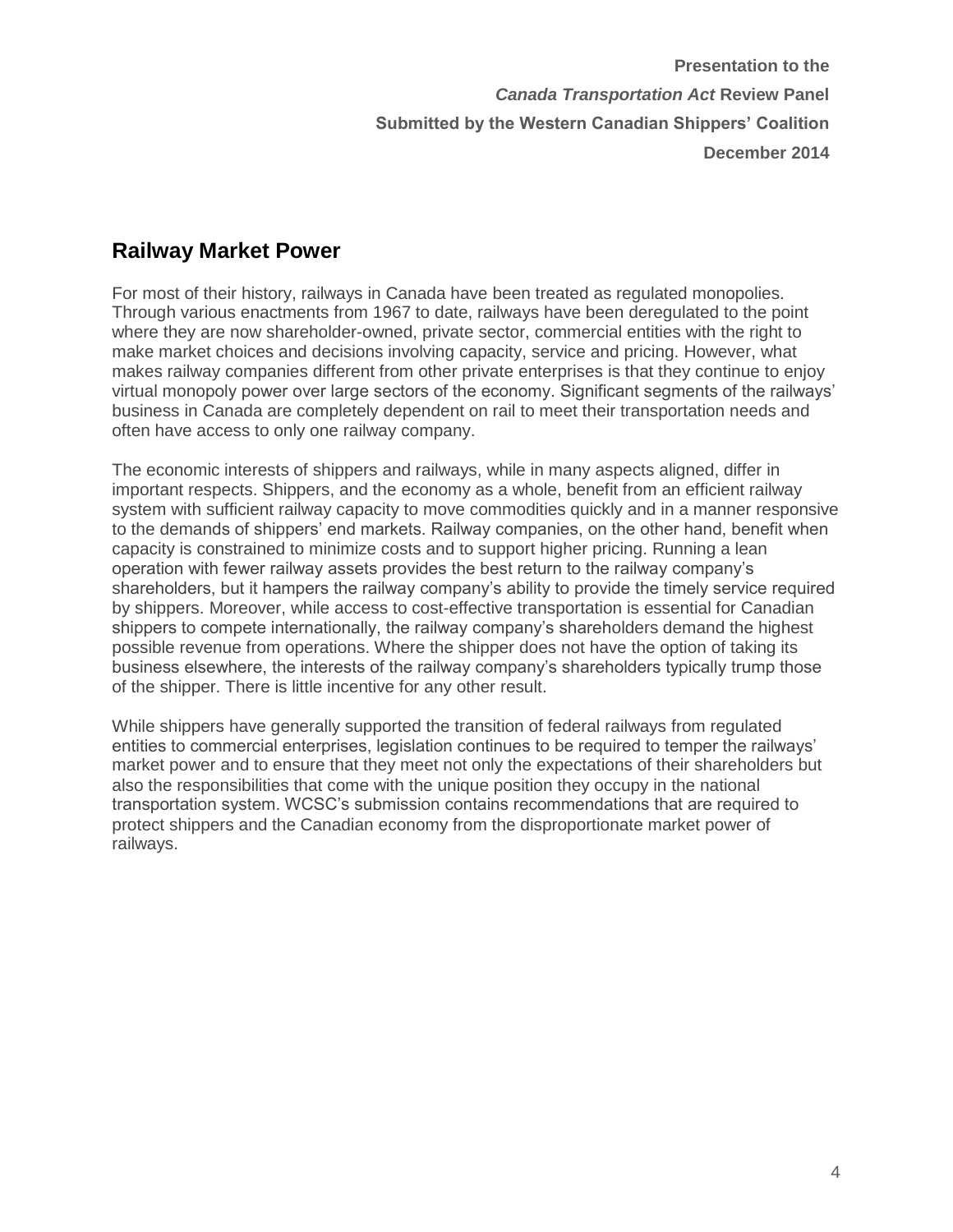#### **Railway Market Power**

For most of their history, railways in Canada have been treated as regulated monopolies. Through various enactments from 1967 to date, railways have been deregulated to the point where they are now shareholder-owned, private sector, commercial entities with the right to make market choices and decisions involving capacity, service and pricing. However, what makes railway companies different from other private enterprises is that they continue to enjoy virtual monopoly power over large sectors of the economy. Significant segments of the railways' business in Canada are completely dependent on rail to meet their transportation needs and often have access to only one railway company.

The economic interests of shippers and railways, while in many aspects aligned, differ in important respects. Shippers, and the economy as a whole, benefit from an efficient railway system with sufficient railway capacity to move commodities quickly and in a manner responsive to the demands of shippers' end markets. Railway companies, on the other hand, benefit when capacity is constrained to minimize costs and to support higher pricing. Running a lean operation with fewer railway assets provides the best return to the railway company's shareholders, but it hampers the railway company's ability to provide the timely service required by shippers. Moreover, while access to cost-effective transportation is essential for Canadian shippers to compete internationally, the railway company's shareholders demand the highest possible revenue from operations. Where the shipper does not have the option of taking its business elsewhere, the interests of the railway company's shareholders typically trump those of the shipper. There is little incentive for any other result.

While shippers have generally supported the transition of federal railways from regulated entities to commercial enterprises, legislation continues to be required to temper the railways' market power and to ensure that they meet not only the expectations of their shareholders but also the responsibilities that come with the unique position they occupy in the national transportation system. WCSC's submission contains recommendations that are required to protect shippers and the Canadian economy from the disproportionate market power of railways.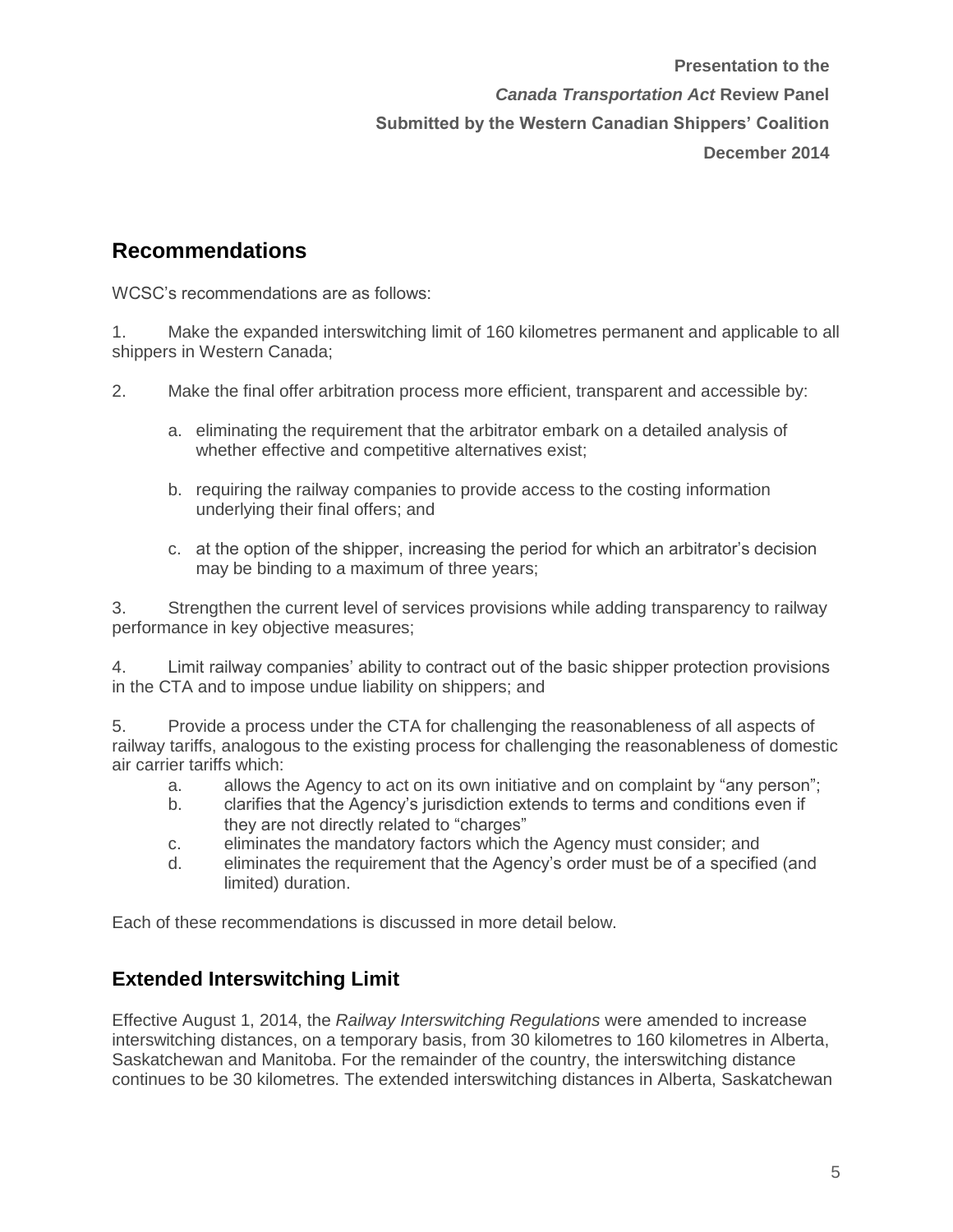#### **Recommendations**

WCSC's recommendations are as follows:

1. Make the expanded interswitching limit of 160 kilometres permanent and applicable to all shippers in Western Canada;

2. Make the final offer arbitration process more efficient, transparent and accessible by:

- a. eliminating the requirement that the arbitrator embark on a detailed analysis of whether effective and competitive alternatives exist;
- b. requiring the railway companies to provide access to the costing information underlying their final offers; and
- c. at the option of the shipper, increasing the period for which an arbitrator's decision may be binding to a maximum of three years;

3. Strengthen the current level of services provisions while adding transparency to railway performance in key objective measures;

4. Limit railway companies' ability to contract out of the basic shipper protection provisions in the CTA and to impose undue liability on shippers; and

5. Provide a process under the CTA for challenging the reasonableness of all aspects of railway tariffs, analogous to the existing process for challenging the reasonableness of domestic air carrier tariffs which:

- a. allows the Agency to act on its own initiative and on complaint by "any person";
- b. clarifies that the Agency's jurisdiction extends to terms and conditions even if they are not directly related to "charges"
- c. eliminates the mandatory factors which the Agency must consider; and
- d. eliminates the requirement that the Agency's order must be of a specified (and limited) duration.

Each of these recommendations is discussed in more detail below.

#### **Extended Interswitching Limit**

Effective August 1, 2014, the *Railway Interswitching Regulations* were amended to increase interswitching distances, on a temporary basis, from 30 kilometres to 160 kilometres in Alberta, Saskatchewan and Manitoba. For the remainder of the country, the interswitching distance continues to be 30 kilometres. The extended interswitching distances in Alberta, Saskatchewan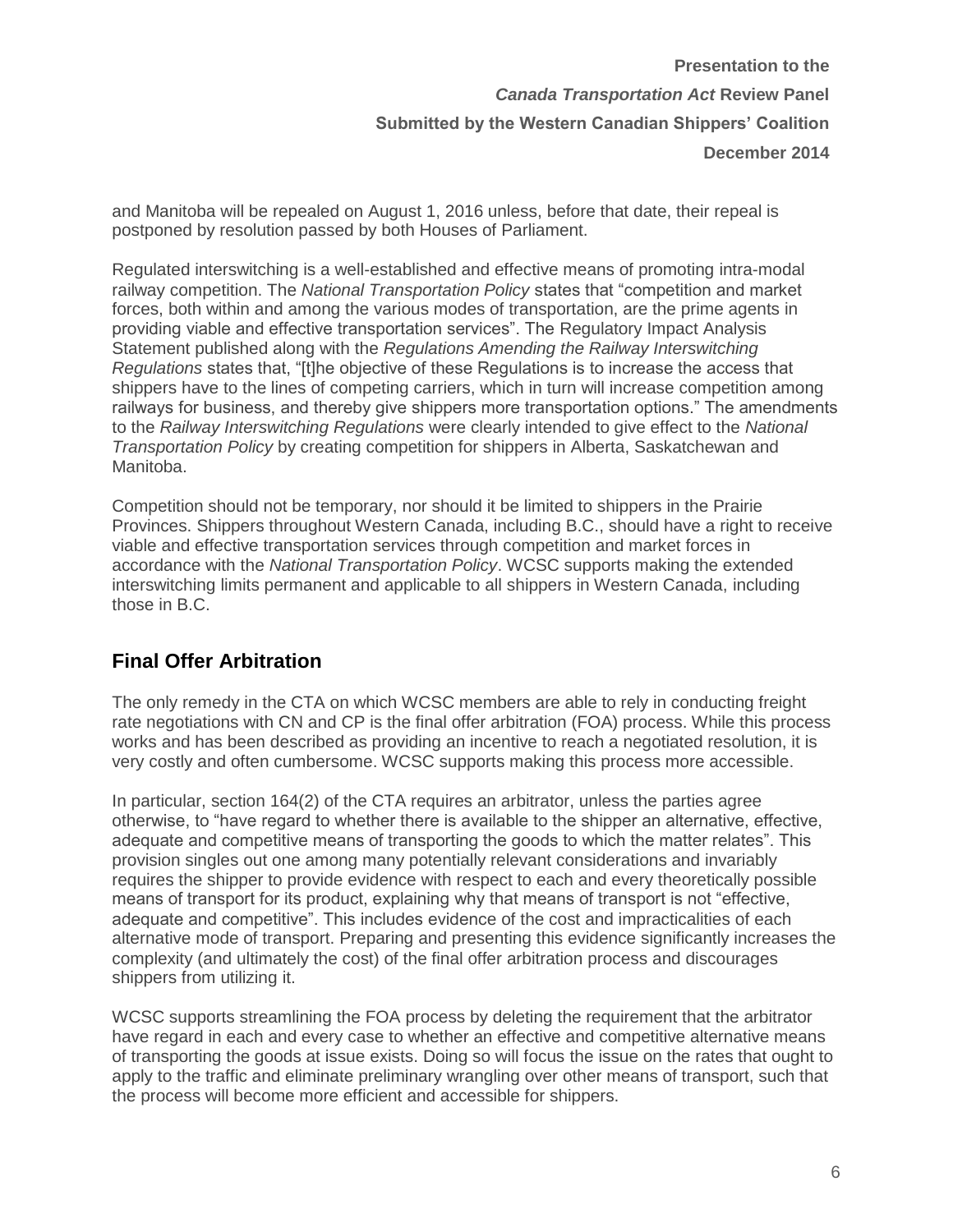and Manitoba will be repealed on August 1, 2016 unless, before that date, their repeal is postponed by resolution passed by both Houses of Parliament.

Regulated interswitching is a well-established and effective means of promoting intra-modal railway competition. The *National Transportation Policy* states that "competition and market forces, both within and among the various modes of transportation, are the prime agents in providing viable and effective transportation services". The Regulatory Impact Analysis Statement published along with the *Regulations Amending the Railway Interswitching Regulations* states that, "[t]he objective of these Regulations is to increase the access that shippers have to the lines of competing carriers, which in turn will increase competition among railways for business, and thereby give shippers more transportation options." The amendments to the *Railway Interswitching Regulations* were clearly intended to give effect to the *National Transportation Policy* by creating competition for shippers in Alberta, Saskatchewan and Manitoba.

Competition should not be temporary, nor should it be limited to shippers in the Prairie Provinces. Shippers throughout Western Canada, including B.C., should have a right to receive viable and effective transportation services through competition and market forces in accordance with the *National Transportation Policy*. WCSC supports making the extended interswitching limits permanent and applicable to all shippers in Western Canada, including those in B.C.

#### **Final Offer Arbitration**

The only remedy in the CTA on which WCSC members are able to rely in conducting freight rate negotiations with CN and CP is the final offer arbitration (FOA) process. While this process works and has been described as providing an incentive to reach a negotiated resolution, it is very costly and often cumbersome. WCSC supports making this process more accessible.

In particular, section 164(2) of the CTA requires an arbitrator, unless the parties agree otherwise, to "have regard to whether there is available to the shipper an alternative, effective, adequate and competitive means of transporting the goods to which the matter relates". This provision singles out one among many potentially relevant considerations and invariably requires the shipper to provide evidence with respect to each and every theoretically possible means of transport for its product, explaining why that means of transport is not "effective, adequate and competitive". This includes evidence of the cost and impracticalities of each alternative mode of transport. Preparing and presenting this evidence significantly increases the complexity (and ultimately the cost) of the final offer arbitration process and discourages shippers from utilizing it.

WCSC supports streamlining the FOA process by deleting the requirement that the arbitrator have regard in each and every case to whether an effective and competitive alternative means of transporting the goods at issue exists. Doing so will focus the issue on the rates that ought to apply to the traffic and eliminate preliminary wrangling over other means of transport, such that the process will become more efficient and accessible for shippers.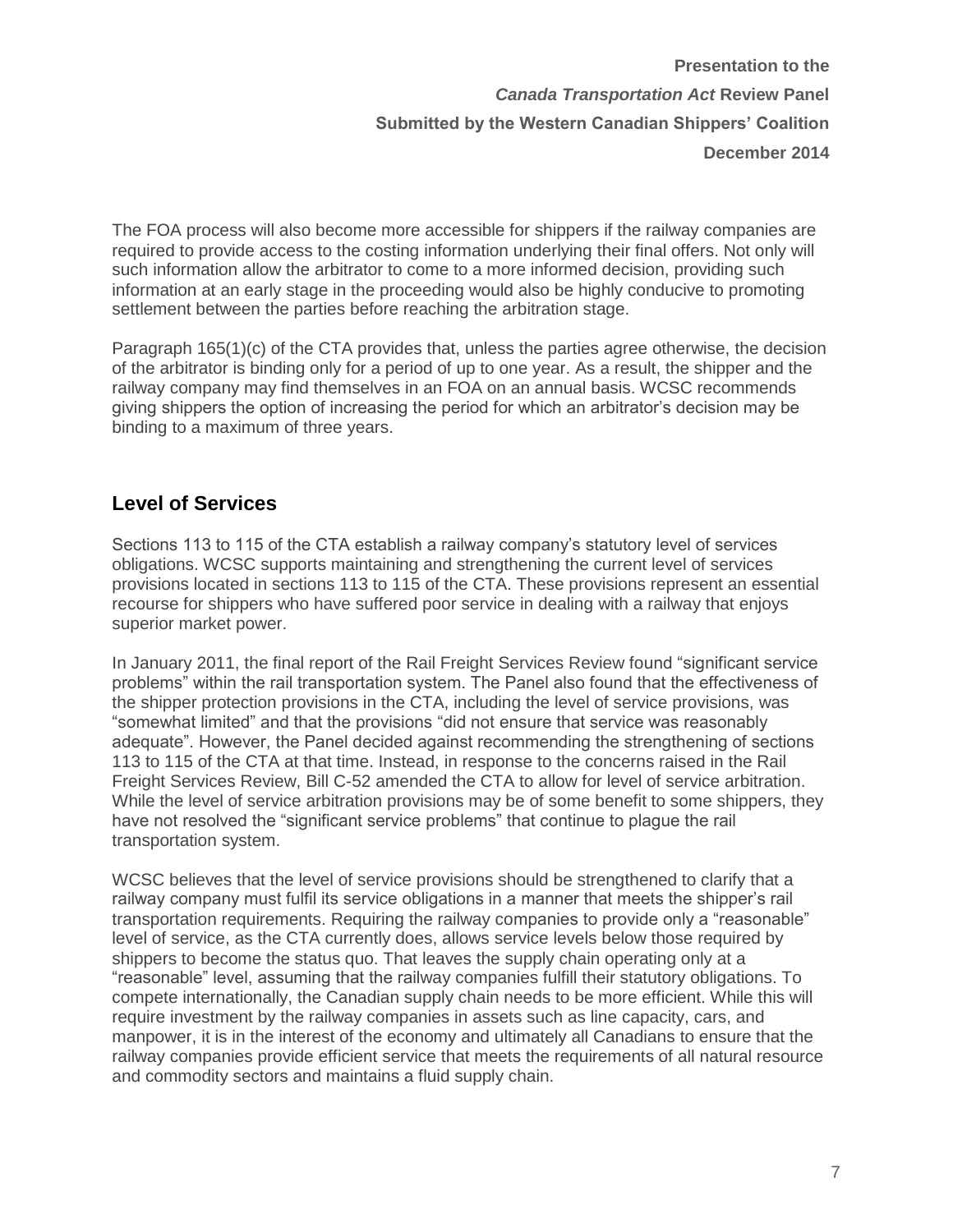The FOA process will also become more accessible for shippers if the railway companies are required to provide access to the costing information underlying their final offers. Not only will such information allow the arbitrator to come to a more informed decision, providing such information at an early stage in the proceeding would also be highly conducive to promoting settlement between the parties before reaching the arbitration stage.

Paragraph 165(1)(c) of the CTA provides that, unless the parties agree otherwise, the decision of the arbitrator is binding only for a period of up to one year. As a result, the shipper and the railway company may find themselves in an FOA on an annual basis. WCSC recommends giving shippers the option of increasing the period for which an arbitrator's decision may be binding to a maximum of three years.

#### **Level of Services**

Sections 113 to 115 of the CTA establish a railway company's statutory level of services obligations. WCSC supports maintaining and strengthening the current level of services provisions located in sections 113 to 115 of the CTA. These provisions represent an essential recourse for shippers who have suffered poor service in dealing with a railway that enjoys superior market power.

In January 2011, the final report of the Rail Freight Services Review found "significant service problems" within the rail transportation system. The Panel also found that the effectiveness of the shipper protection provisions in the CTA, including the level of service provisions, was "somewhat limited" and that the provisions "did not ensure that service was reasonably adequate". However, the Panel decided against recommending the strengthening of sections 113 to 115 of the CTA at that time. Instead, in response to the concerns raised in the Rail Freight Services Review, Bill C-52 amended the CTA to allow for level of service arbitration. While the level of service arbitration provisions may be of some benefit to some shippers, they have not resolved the "significant service problems" that continue to plague the rail transportation system.

WCSC believes that the level of service provisions should be strengthened to clarify that a railway company must fulfil its service obligations in a manner that meets the shipper's rail transportation requirements. Requiring the railway companies to provide only a "reasonable" level of service, as the CTA currently does, allows service levels below those required by shippers to become the status quo. That leaves the supply chain operating only at a "reasonable" level, assuming that the railway companies fulfill their statutory obligations. To compete internationally, the Canadian supply chain needs to be more efficient. While this will require investment by the railway companies in assets such as line capacity, cars, and manpower, it is in the interest of the economy and ultimately all Canadians to ensure that the railway companies provide efficient service that meets the requirements of all natural resource and commodity sectors and maintains a fluid supply chain.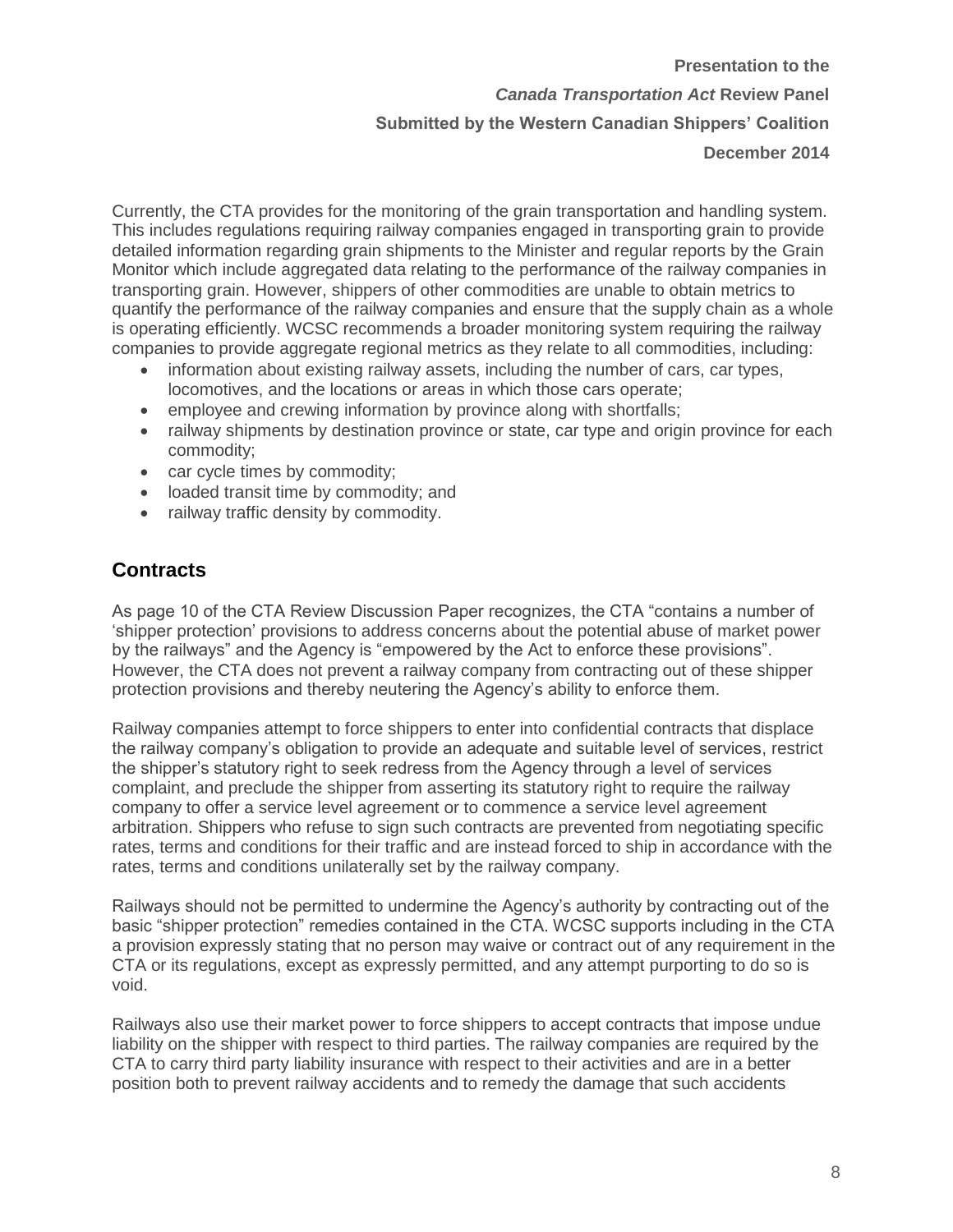Currently, the CTA provides for the monitoring of the grain transportation and handling system. This includes regulations requiring railway companies engaged in transporting grain to provide detailed information regarding grain shipments to the Minister and regular reports by the Grain Monitor which include aggregated data relating to the performance of the railway companies in transporting grain. However, shippers of other commodities are unable to obtain metrics to quantify the performance of the railway companies and ensure that the supply chain as a whole is operating efficiently. WCSC recommends a broader monitoring system requiring the railway companies to provide aggregate regional metrics as they relate to all commodities, including:

- information about existing railway assets, including the number of cars, car types, locomotives, and the locations or areas in which those cars operate;
- employee and crewing information by province along with shortfalls;
- railway shipments by destination province or state, car type and origin province for each commodity;
- car cycle times by commodity;
- loaded transit time by commodity; and
- railway traffic density by commodity.

#### **Contracts**

As page 10 of the CTA Review Discussion Paper recognizes, the CTA "contains a number of 'shipper protection' provisions to address concerns about the potential abuse of market power by the railways" and the Agency is "empowered by the Act to enforce these provisions". However, the CTA does not prevent a railway company from contracting out of these shipper protection provisions and thereby neutering the Agency's ability to enforce them.

Railway companies attempt to force shippers to enter into confidential contracts that displace the railway company's obligation to provide an adequate and suitable level of services, restrict the shipper's statutory right to seek redress from the Agency through a level of services complaint, and preclude the shipper from asserting its statutory right to require the railway company to offer a service level agreement or to commence a service level agreement arbitration. Shippers who refuse to sign such contracts are prevented from negotiating specific rates, terms and conditions for their traffic and are instead forced to ship in accordance with the rates, terms and conditions unilaterally set by the railway company.

Railways should not be permitted to undermine the Agency's authority by contracting out of the basic "shipper protection" remedies contained in the CTA. WCSC supports including in the CTA a provision expressly stating that no person may waive or contract out of any requirement in the CTA or its regulations, except as expressly permitted, and any attempt purporting to do so is void.

Railways also use their market power to force shippers to accept contracts that impose undue liability on the shipper with respect to third parties. The railway companies are required by the CTA to carry third party liability insurance with respect to their activities and are in a better position both to prevent railway accidents and to remedy the damage that such accidents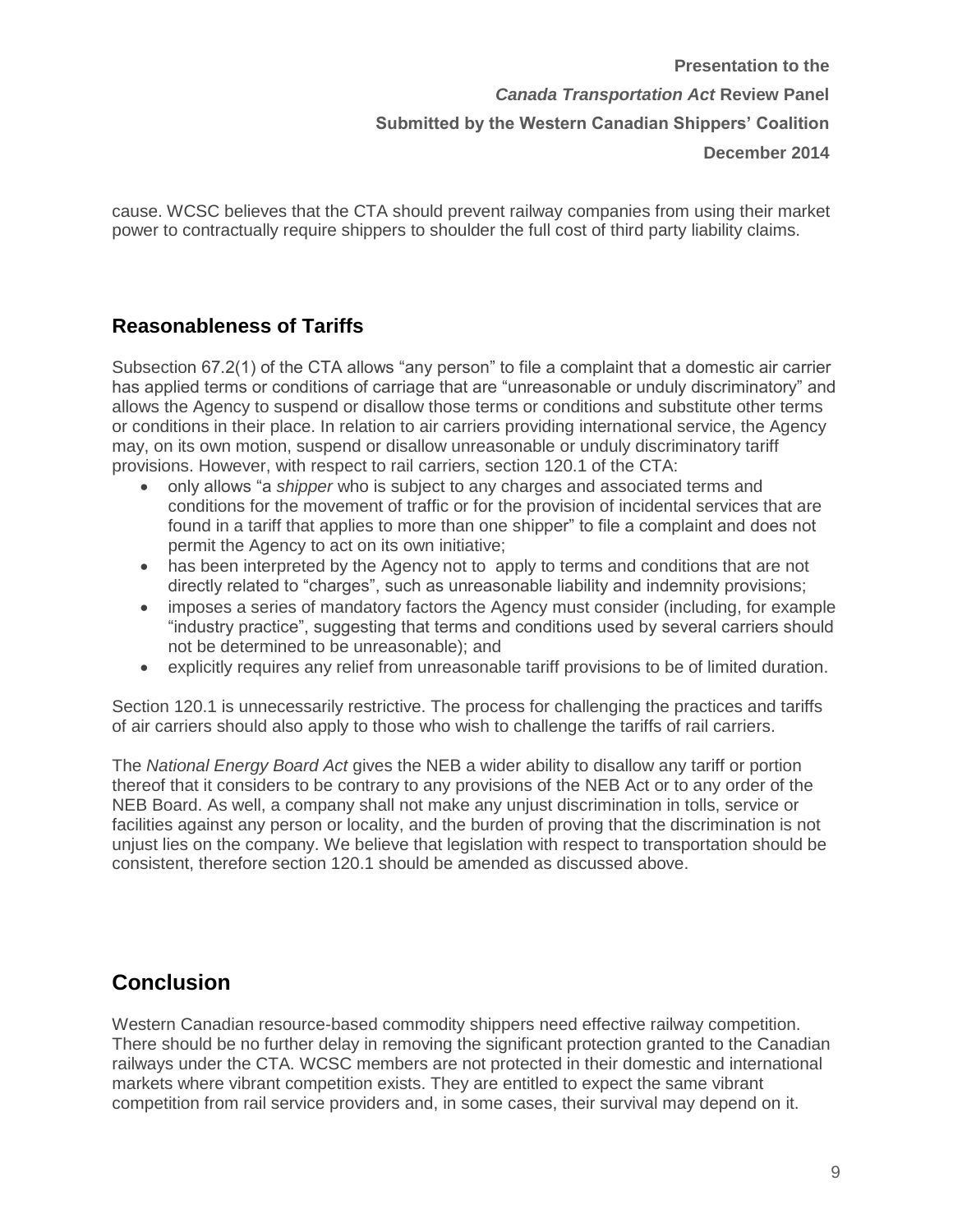cause. WCSC believes that the CTA should prevent railway companies from using their market power to contractually require shippers to shoulder the full cost of third party liability claims.

#### **Reasonableness of Tariffs**

Subsection 67.2(1) of the CTA allows "any person" to file a complaint that a domestic air carrier has applied terms or conditions of carriage that are "unreasonable or unduly discriminatory" and allows the Agency to suspend or disallow those terms or conditions and substitute other terms or conditions in their place. In relation to air carriers providing international service, the Agency may, on its own motion, suspend or disallow unreasonable or unduly discriminatory tariff provisions. However, with respect to rail carriers, section 120.1 of the CTA:

- only allows "a *shipper* who is subject to any charges and associated terms and conditions for the movement of traffic or for the provision of incidental services that are found in a tariff that applies to more than one shipper" to file a complaint and does not permit the Agency to act on its own initiative;
- has been interpreted by the Agency not to apply to terms and conditions that are not directly related to "charges", such as unreasonable liability and indemnity provisions;
- imposes a series of mandatory factors the Agency must consider (including, for example "industry practice", suggesting that terms and conditions used by several carriers should not be determined to be unreasonable); and
- explicitly requires any relief from unreasonable tariff provisions to be of limited duration.

Section 120.1 is unnecessarily restrictive. The process for challenging the practices and tariffs of air carriers should also apply to those who wish to challenge the tariffs of rail carriers.

The *National Energy Board Act* gives the NEB a wider ability to disallow any tariff or portion thereof that it considers to be contrary to any provisions of the NEB Act or to any order of the NEB Board. As well, a company shall not make any unjust discrimination in tolls, service or facilities against any person or locality, and the burden of proving that the discrimination is not unjust lies on the company. We believe that legislation with respect to transportation should be consistent, therefore section 120.1 should be amended as discussed above.

### **Conclusion**

Western Canadian resource-based commodity shippers need effective railway competition. There should be no further delay in removing the significant protection granted to the Canadian railways under the CTA. WCSC members are not protected in their domestic and international markets where vibrant competition exists. They are entitled to expect the same vibrant competition from rail service providers and, in some cases, their survival may depend on it.